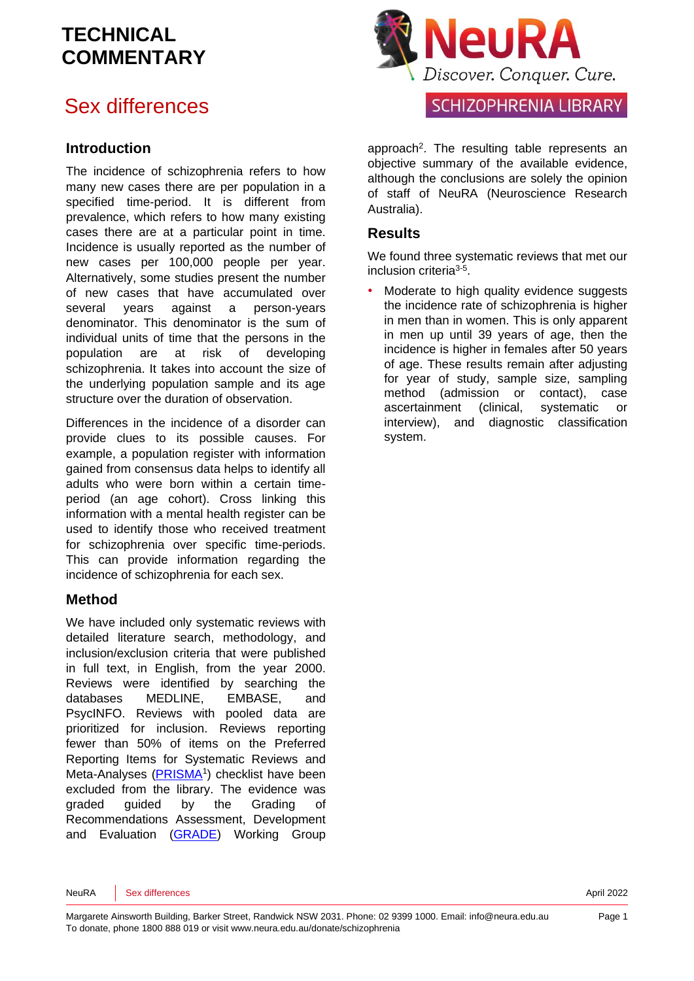# Sex differences

### **Introduction**

The incidence of schizophrenia refers to how many new cases there are per population in a specified time-period. It is different from prevalence, which refers to how many existing cases there are at a particular point in time. Incidence is usually reported as the number of new cases per 100,000 people per year. Alternatively, some studies present the number of new cases that have accumulated over several years against a person-years denominator. This denominator is the sum of individual units of time that the persons in the population are at risk of developing schizophrenia. It takes into account the size of the underlying population sample and its age structure over the duration of observation.

Differences in the incidence of a disorder can provide clues to its possible causes. For example, a population register with information gained from consensus data helps to identify all adults who were born within a certain timeperiod (an age cohort). Cross linking this information with a mental health register can be used to identify those who received treatment for schizophrenia over specific time-periods. This can provide information regarding the incidence of schizophrenia for each sex.

### **Method**

We have included only systematic reviews with detailed literature search, methodology, and inclusion/exclusion criteria that were published in full text, in English, from the year 2000. Reviews were identified by searching the databases MEDLINE, EMBASE, and PsycINFO. Reviews with pooled data are prioritized for inclusion. Reviews reporting fewer than 50% of items on the Preferred Reporting Items for Systematic Reviews and Meta-Analyses [\(PRISMA](http://www.prisma-statement.org/)<sup>[1](#page-6-0)</sup>) checklist have been excluded from the library. The evidence was graded guided by the Grading of Recommendations Assessment, Development and Evaluation [\(GRADE\)](http://www.gradeworkinggroup.org/) Working Group



### SCHIZOPHRENIA LIBRARY

approach<sup>[2](#page-6-1)</sup>. The resulting table represents an objective summary of the available evidence, although the conclusions are solely the opinion of staff of NeuRA (Neuroscience Research Australia).

### **Results**

We found three systematic reviews that met our inclusion criteria<sup>[3-5](#page-6-2)</sup>.

Moderate to high quality evidence suggests the incidence rate of schizophrenia is higher in men than in women. This is only apparent in men up until 39 years of age, then the incidence is higher in females after 50 years of age. These results remain after adjusting for year of study, sample size, sampling method (admission or contact), case ascertainment (clinical, systematic or interview), and diagnostic classification system.

NeuRA Sex differences **April 2022**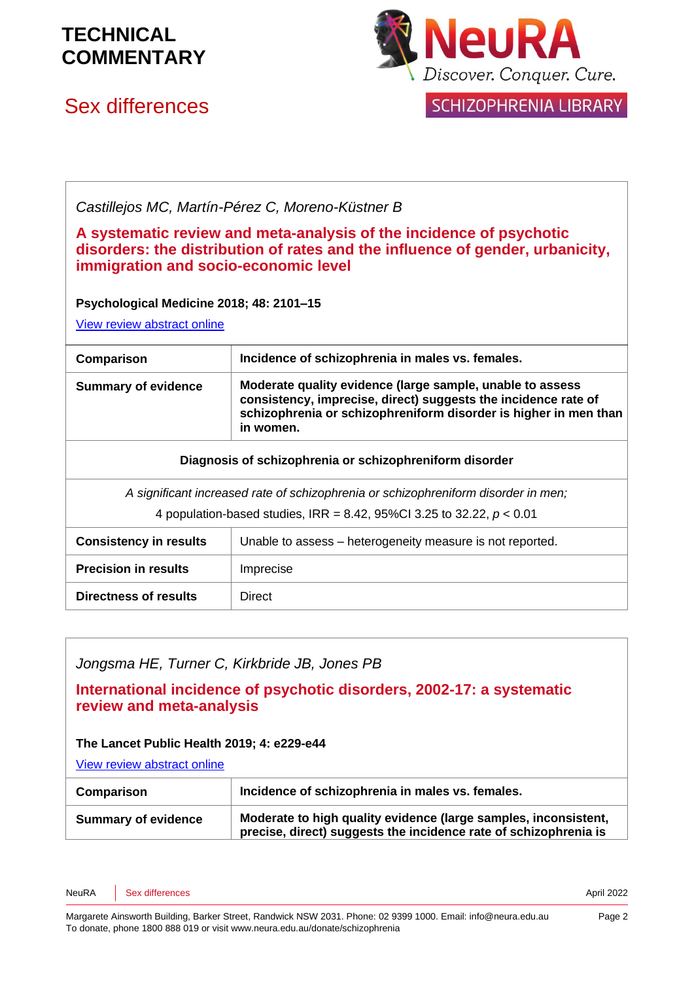

# Sex differences



SCHIZOPHRENIA LIBRARY

### *Castillejos MC, Martín-Pérez C, Moreno-Küstner B*

### **A systematic review and meta-analysis of the incidence of psychotic disorders: the distribution of rates and the influence of gender, urbanicity, immigration and socio-economic level**

#### **Psychological Medicine 2018; 48: 2101–15**

[View review abstract online](https://pubmed.ncbi.nlm.nih.gov/29467052/)

| Comparison                                                                         | Incidence of schizophrenia in males vs. females.                                                                                                                                                             |  |
|------------------------------------------------------------------------------------|--------------------------------------------------------------------------------------------------------------------------------------------------------------------------------------------------------------|--|
| <b>Summary of evidence</b>                                                         | Moderate quality evidence (large sample, unable to assess<br>consistency, imprecise, direct) suggests the incidence rate of<br>schizophrenia or schizophreniform disorder is higher in men than<br>in women. |  |
| Diagnosis of schizophrenia or schizophreniform disorder                            |                                                                                                                                                                                                              |  |
| A significant increased rate of schizophrenia or schizophreniform disorder in men; |                                                                                                                                                                                                              |  |
| 4 population-based studies, IRR = 8.42, 95%Cl 3.25 to 32.22, $p < 0.01$            |                                                                                                                                                                                                              |  |
| <b>Consistency in results</b>                                                      | Unable to assess – heterogeneity measure is not reported.                                                                                                                                                    |  |
| <b>Precision in results</b>                                                        | Imprecise                                                                                                                                                                                                    |  |
| Directness of results                                                              | Direct                                                                                                                                                                                                       |  |

### *Jongsma HE, Turner C, Kirkbride JB, Jones PB*

**International incidence of psychotic disorders, 2002-17: a systematic review and meta-analysis**

#### **The Lancet Public Health 2019; 4: e229-e44**

[View review abstract online](https://www.thelancet.com/journals/lanpub/article/PIIS2468-2667(19)30056-8/fulltext) 

| Comparison                 | Incidence of schizophrenia in males vs. females.                                                                                    |
|----------------------------|-------------------------------------------------------------------------------------------------------------------------------------|
| <b>Summary of evidence</b> | Moderate to high quality evidence (large samples, inconsistent,<br>precise, direct) suggests the incidence rate of schizophrenia is |

NeuRA Sex differences **April 2022**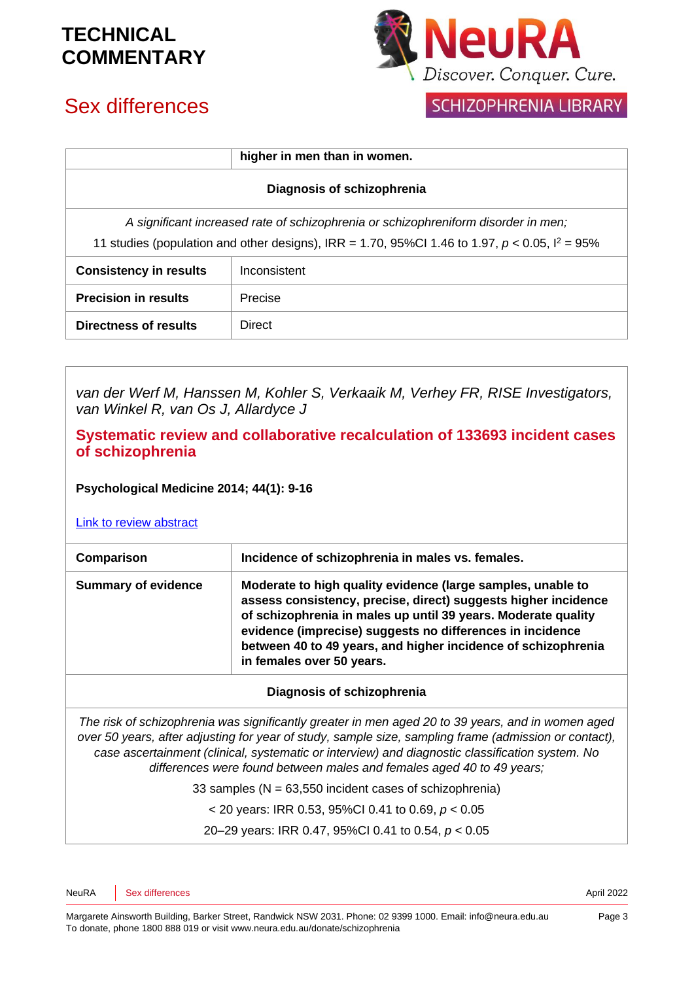

### SCHIZOPHRENIA LIBRARY

# Sex differences

|                                                                                                      | higher in men than in women. |  |
|------------------------------------------------------------------------------------------------------|------------------------------|--|
| Diagnosis of schizophrenia                                                                           |                              |  |
| A significant increased rate of schizophrenia or schizophreniform disorder in men;                   |                              |  |
| 11 studies (population and other designs), IRR = 1.70, 95%Cl 1.46 to 1.97, $p < 0.05$ , $l^2 = 95\%$ |                              |  |
| <b>Consistency in results</b>                                                                        | Inconsistent                 |  |
| <b>Precision in results</b>                                                                          | Precise                      |  |
| Directness of results                                                                                | <b>Direct</b>                |  |

*van der Werf M, Hanssen M, Kohler S, Verkaaik M, Verhey FR, RISE Investigators, van Winkel R, van Os J, Allardyce J* 

**Systematic review and collaborative recalculation of 133693 incident cases of schizophrenia** 

**Psychological Medicine 2014; 44(1): 9-16**

[Link to review abstract](http://www.ncbi.nlm.nih.gov/pubmed/23244442)

| Comparison                 | Incidence of schizophrenia in males vs. females.                                                                                                                                                                                                                                                                                                          |
|----------------------------|-----------------------------------------------------------------------------------------------------------------------------------------------------------------------------------------------------------------------------------------------------------------------------------------------------------------------------------------------------------|
| <b>Summary of evidence</b> | Moderate to high quality evidence (large samples, unable to<br>assess consistency, precise, direct) suggests higher incidence<br>of schizophrenia in males up until 39 years. Moderate quality<br>evidence (imprecise) suggests no differences in incidence<br>between 40 to 49 years, and higher incidence of schizophrenia<br>in females over 50 years. |

#### **Diagnosis of schizophrenia**

*The risk of schizophrenia was significantly greater in men aged 20 to 39 years, and in women aged over 50 years, after adjusting for year of study, sample size, sampling frame (admission or contact), case ascertainment (clinical, systematic or interview) and diagnostic classification system. No differences were found between males and females aged 40 to 49 years;*

33 samples ( $N = 63,550$  incident cases of schizophrenia)

< 20 years: IRR 0.53, 95%CI 0.41 to 0.69, *p* < 0.05

20–29 years: IRR 0.47, 95%CI 0.41 to 0.54, *p* < 0.05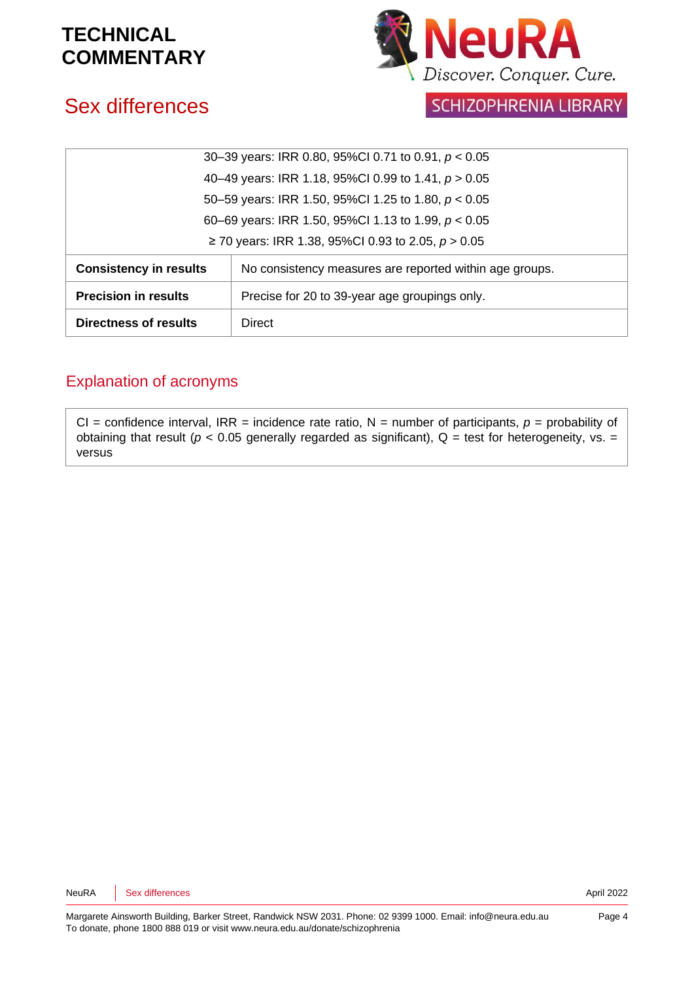

# Sex differences

SCHIZOPHRENIA LIBRARY

| 30-39 years: IRR 0.80, 95%CI 0.71 to 0.91, $p < 0.05$ |                                                         |  |
|-------------------------------------------------------|---------------------------------------------------------|--|
| 40-49 years: IRR 1.18, 95%CI 0.99 to 1.41, p > 0.05   |                                                         |  |
| 50–59 years: IRR 1.50, 95%CI 1.25 to 1.80, $p < 0.05$ |                                                         |  |
| 60–69 years: IRR 1.50, 95%CI 1.13 to 1.99, $p < 0.05$ |                                                         |  |
| ≥ 70 years: IRR 1.38, 95%CI 0.93 to 2.05, $p > 0.05$  |                                                         |  |
| <b>Consistency in results</b>                         | No consistency measures are reported within age groups. |  |
| <b>Precision in results</b>                           | Precise for 20 to 39-year age groupings only.           |  |
| Directness of results                                 | Direct                                                  |  |

### Explanation of acronyms

CI = confidence interval, IRR = incidence rate ratio,  $N$  = number of participants,  $p$  = probability of obtaining that result ( $p < 0.05$  generally regarded as significant),  $Q =$  test for heterogeneity, vs. = versus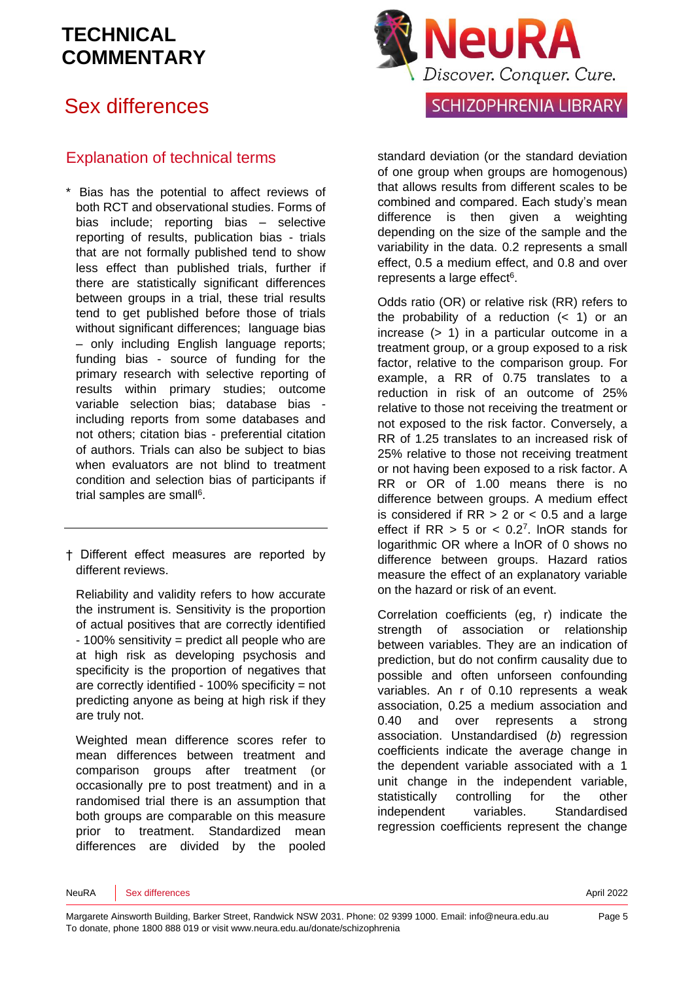# Sex differences

### Explanation of technical terms

- \* Bias has the potential to affect reviews of both RCT and observational studies. Forms of bias include; reporting bias – selective reporting of results, publication bias - trials that are not formally published tend to show less effect than published trials, further if there are statistically significant differences between groups in a trial, these trial results tend to get published before those of trials without significant differences; language bias – only including English language reports; funding bias - source of funding for the primary research with selective reporting of results within primary studies; outcome variable selection bias; database bias including reports from some databases and not others; citation bias - preferential citation of authors. Trials can also be subject to bias when evaluators are not blind to treatment condition and selection bias of participants if trial samples are sma[ll](#page-6-3)<sup>6</sup>.
- † Different effect measures are reported by different reviews.

Reliability and validity refers to how accurate the instrument is. Sensitivity is the proportion of actual positives that are correctly identified - 100% sensitivity = predict all people who are at high risk as developing psychosis and specificity is the proportion of negatives that are correctly identified - 100% specificity = not predicting anyone as being at high risk if they are truly not.

Weighted mean difference scores refer to mean differences between treatment and comparison groups after treatment (or occasionally pre to post treatment) and in a randomised trial there is an assumption that both groups are comparable on this measure prior to treatment. Standardized mean differences are divided by the pooled



standard deviation (or the standard deviation of one group when groups are homogenous) that allows results from different scales to be combined and compared. Each study's mean difference is then given a weighting depending on the size of the sample and the variability in the data. 0.2 represents a small effect, 0.5 a medium effect, and 0.8 and over represents a large effect<sup>[6](#page-6-3)</sup>.

Odds ratio (OR) or relative risk (RR) refers to the probability of a reduction  $($   $<$  1) or an increase (> 1) in a particular outcome in a treatment group, or a group exposed to a risk factor, relative to the comparison group. For example, a RR of 0.75 translates to a reduction in risk of an outcome of 25% relative to those not receiving the treatment or not exposed to the risk factor. Conversely, a RR of 1.25 translates to an increased risk of 25% relative to those not receiving treatment or not having been exposed to a risk factor. A RR or OR of 1.00 means there is no difference between groups. A medium effect is considered if  $RR > 2$  or  $< 0.5$  and a large effect if  $RR > 5$  or  $< 0.2<sup>7</sup>$  $< 0.2<sup>7</sup>$  $< 0.2<sup>7</sup>$ . InOR stands for logarithmic OR where a lnOR of 0 shows no difference between groups. Hazard ratios measure the effect of an explanatory variable on the hazard or risk of an event.

Correlation coefficients (eg, r) indicate the strength of association or relationship between variables. They are an indication of prediction, but do not confirm causality due to possible and often unforseen confounding variables. An r of 0.10 represents a weak association, 0.25 a medium association and 0.40 and over represents a strong association. Unstandardised (*b*) regression coefficients indicate the average change in the dependent variable associated with a 1 unit change in the independent variable, statistically controlling for the other independent variables. Standardised regression coefficients represent the change

NeuRA Sex differences **April 2022**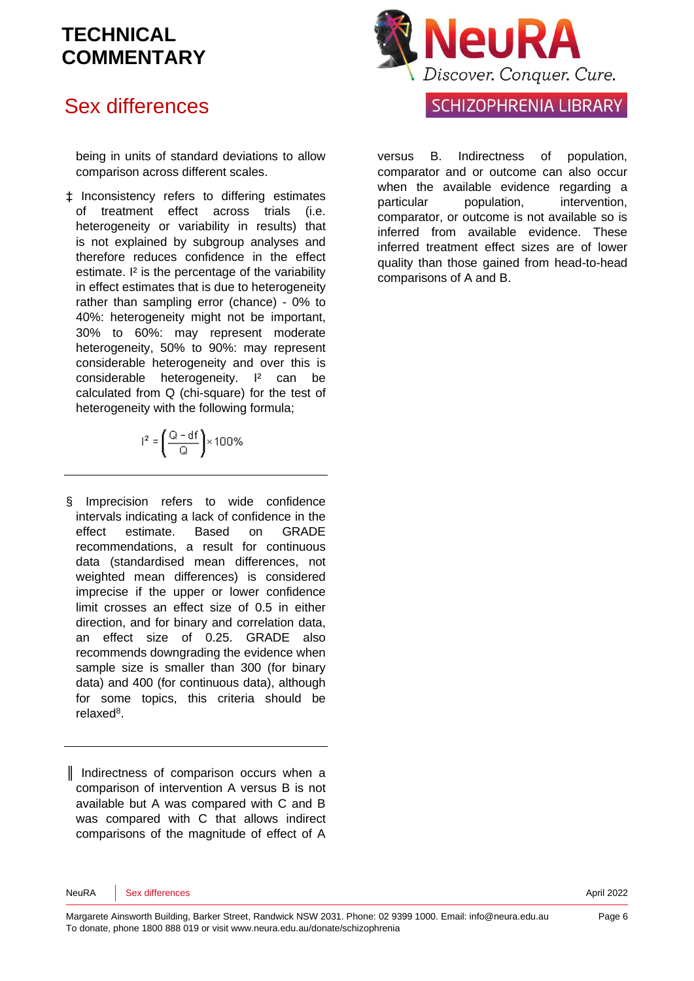## Sex differences

being in units of standard deviations to allow comparison across different scales.

‡ Inconsistency refers to differing estimates of treatment effect across trials (i.e. heterogeneity or variability in results) that is not explained by subgroup analyses and therefore reduces confidence in the effect estimate. I<sup>2</sup> is the percentage of the variability in effect estimates that is due to heterogeneity rather than sampling error (chance) - 0% to 40%: heterogeneity might not be important, 30% to 60%: may represent moderate heterogeneity, 50% to 90%: may represent considerable heterogeneity and over this is considerable heterogeneity. I² can be calculated from Q (chi-square) for the test of heterogeneity with the following formula:

$$
l^2 = \left(\frac{Q - df}{Q}\right) \times 100\%
$$

§ Imprecision refers to wide confidence intervals indicating a lack of confidence in the effect estimate. Based on GRADE recommendations, a result for continuous data (standardised mean differences, not weighted mean differences) is considered imprecise if the upper or lower confidence limit crosses an effect size of 0.5 in either direction, and for binary and correlation data, an effect size of 0.25. GRADE also recommends downgrading the evidence when sample size is smaller than 300 (for binary data) and 400 (for continuous data), although for some topics, this criteria should be relaxe[d](#page-6-5)<sup>8</sup>.

║ Indirectness of comparison occurs when a comparison of intervention A versus B is not available but A was compared with C and B was compared with C that allows indirect comparisons of the magnitude of effect of A



### SCHIZOPHRENIA LIBRARY

versus B. Indirectness of population, comparator and or outcome can also occur when the available evidence regarding a particular population, intervention, comparator, or outcome is not available so is inferred from available evidence. These inferred treatment effect sizes are of lower quality than those gained from head-to-head comparisons of A and B.

NeuRA Sex differences **April 2022**